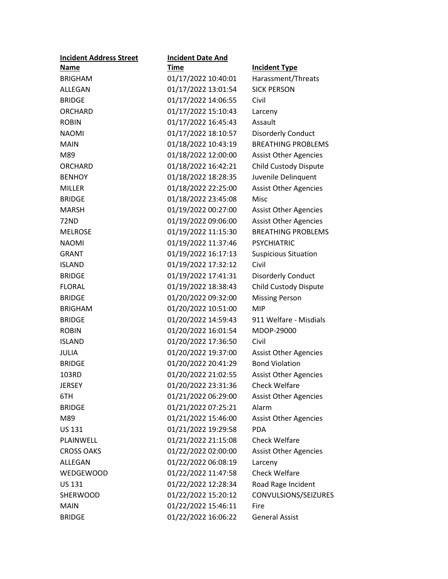| <b>Incident Address Street</b> | <b>Incident Date And</b> |                              |
|--------------------------------|--------------------------|------------------------------|
| <b>Name</b>                    | Time                     | <b>Incident Type</b>         |
| <b>BRIGHAM</b>                 | 01/17/2022 10:40:01      | Harassment/Threats           |
| ALLEGAN                        | 01/17/2022 13:01:54      | <b>SICK PERSON</b>           |
| <b>BRIDGE</b>                  | 01/17/2022 14:06:55      | Civil                        |
| <b>ORCHARD</b>                 | 01/17/2022 15:10:43      | Larceny                      |
| <b>ROBIN</b>                   | 01/17/2022 16:45:43      | Assault                      |
| <b>NAOMI</b>                   | 01/17/2022 18:10:57      | <b>Disorderly Conduct</b>    |
| <b>MAIN</b>                    | 01/18/2022 10:43:19      | <b>BREATHING PROBLEMS</b>    |
| M89                            | 01/18/2022 12:00:00      | <b>Assist Other Agencies</b> |
| <b>ORCHARD</b>                 | 01/18/2022 16:42:21      | Child Custody Dispute        |
| <b>BENHOY</b>                  | 01/18/2022 18:28:35      | Juvenile Delinquent          |
| <b>MILLER</b>                  | 01/18/2022 22:25:00      | <b>Assist Other Agencies</b> |
| <b>BRIDGE</b>                  | 01/18/2022 23:45:08      | <b>Misc</b>                  |
| <b>MARSH</b>                   | 01/19/2022 00:27:00      | <b>Assist Other Agencies</b> |
| 72ND                           | 01/19/2022 09:06:00      | <b>Assist Other Agencies</b> |
| <b>MELROSE</b>                 | 01/19/2022 11:15:30      | <b>BREATHING PROBLEMS</b>    |
| <b>NAOMI</b>                   | 01/19/2022 11:37:46      | <b>PSYCHIATRIC</b>           |
| <b>GRANT</b>                   | 01/19/2022 16:17:13      | <b>Suspicious Situation</b>  |
| <b>ISLAND</b>                  | 01/19/2022 17:32:12      | Civil                        |
| <b>BRIDGE</b>                  | 01/19/2022 17:41:31      | <b>Disorderly Conduct</b>    |
| <b>FLORAL</b>                  | 01/19/2022 18:38:43      | <b>Child Custody Dispute</b> |
| <b>BRIDGE</b>                  | 01/20/2022 09:32:00      | <b>Missing Person</b>        |
| <b>BRIGHAM</b>                 | 01/20/2022 10:51:00      | <b>MIP</b>                   |
| <b>BRIDGE</b>                  | 01/20/2022 14:59:43      | 911 Welfare - Misdials       |
| <b>ROBIN</b>                   | 01/20/2022 16:01:54      | MDOP-29000                   |
| <b>ISLAND</b>                  | 01/20/2022 17:36:50      | Civil                        |
| <b>JULIA</b>                   | 01/20/2022 19:37:00      | <b>Assist Other Agencies</b> |
| <b>BRIDGE</b>                  | 01/20/2022 20:41:29      | <b>Bond Violation</b>        |
| 103RD                          | 01/20/2022 21:02:55      | <b>Assist Other Agencies</b> |
| <b>JERSEY</b>                  | 01/20/2022 23:31:36      | <b>Check Welfare</b>         |
| 6TH                            | 01/21/2022 06:29:00      | <b>Assist Other Agencies</b> |
| <b>BRIDGE</b>                  | 01/21/2022 07:25:21      | Alarm                        |
| M89                            | 01/21/2022 15:46:00      | <b>Assist Other Agencies</b> |
| <b>US 131</b>                  | 01/21/2022 19:29:58      | <b>PDA</b>                   |
| PLAINWELL                      | 01/21/2022 21:15:08      | <b>Check Welfare</b>         |
| <b>CROSS OAKS</b>              | 01/22/2022 02:00:00      | <b>Assist Other Agencies</b> |
| ALLEGAN                        | 01/22/2022 06:08:19      | Larceny                      |
| WEDGEWOOD                      | 01/22/2022 11:47:58      | <b>Check Welfare</b>         |
| <b>US 131</b>                  | 01/22/2022 12:28:34      | Road Rage Incident           |
| SHERWOOD                       | 01/22/2022 15:20:12      | CONVULSIONS/SEIZURES         |
| <b>MAIN</b>                    | 01/22/2022 15:46:11      | Fire                         |
| <b>BRIDGE</b>                  | 01/22/2022 16:06:22      | <b>General Assist</b>        |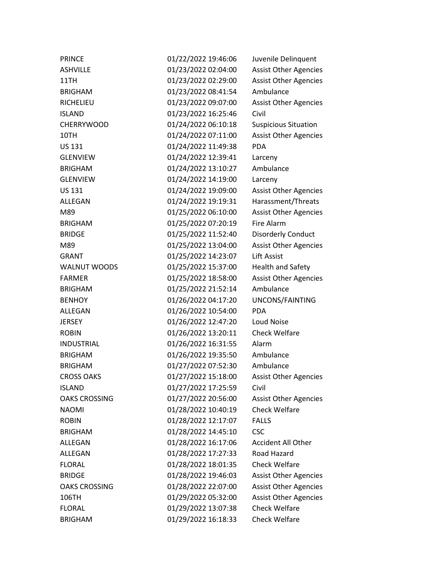| <b>PRINCE</b>        | 01/22/2022 19:46:06 | Juvenile Delinquent          |
|----------------------|---------------------|------------------------------|
| <b>ASHVILLE</b>      | 01/23/2022 02:04:00 | <b>Assist Other Agencies</b> |
| 11TH                 | 01/23/2022 02:29:00 | <b>Assist Other Agencies</b> |
| <b>BRIGHAM</b>       | 01/23/2022 08:41:54 | Ambulance                    |
| RICHELIEU            | 01/23/2022 09:07:00 | <b>Assist Other Agencies</b> |
| <b>ISLAND</b>        | 01/23/2022 16:25:46 | Civil                        |
| <b>CHERRYWOOD</b>    | 01/24/2022 06:10:18 | <b>Suspicious Situation</b>  |
| 10TH                 | 01/24/2022 07:11:00 | <b>Assist Other Agencies</b> |
| <b>US 131</b>        | 01/24/2022 11:49:38 | <b>PDA</b>                   |
| <b>GLENVIEW</b>      | 01/24/2022 12:39:41 | Larceny                      |
| <b>BRIGHAM</b>       | 01/24/2022 13:10:27 | Ambulance                    |
| <b>GLENVIEW</b>      | 01/24/2022 14:19:00 | Larceny                      |
| US 131               | 01/24/2022 19:09:00 | <b>Assist Other Agencies</b> |
| ALLEGAN              | 01/24/2022 19:19:31 | Harassment/Threats           |
| M89                  | 01/25/2022 06:10:00 | <b>Assist Other Agencies</b> |
| <b>BRIGHAM</b>       | 01/25/2022 07:20:19 | <b>Fire Alarm</b>            |
| <b>BRIDGE</b>        | 01/25/2022 11:52:40 | Disorderly Conduct           |
| M89                  | 01/25/2022 13:04:00 | <b>Assist Other Agencies</b> |
| <b>GRANT</b>         | 01/25/2022 14:23:07 | <b>Lift Assist</b>           |
| WALNUT WOODS         | 01/25/2022 15:37:00 | <b>Health and Safety</b>     |
| <b>FARMER</b>        | 01/25/2022 18:58:00 | <b>Assist Other Agencies</b> |
| <b>BRIGHAM</b>       | 01/25/2022 21:52:14 | Ambulance                    |
| <b>BENHOY</b>        | 01/26/2022 04:17:20 | UNCONS/FAINTING              |
| ALLEGAN              | 01/26/2022 10:54:00 | <b>PDA</b>                   |
| <b>JERSEY</b>        | 01/26/2022 12:47:20 | Loud Noise                   |
| <b>ROBIN</b>         | 01/26/2022 13:20:11 | <b>Check Welfare</b>         |
| <b>INDUSTRIAL</b>    | 01/26/2022 16:31:55 | Alarm                        |
| <b>BRIGHAM</b>       | 01/26/2022 19:35:50 | Ambulance                    |
| <b>BRIGHAM</b>       | 01/27/2022 07:52:30 | Ambulance                    |
| <b>CROSS OAKS</b>    | 01/27/2022 15:18:00 | <b>Assist Other Agencies</b> |
| <b>ISLAND</b>        | 01/27/2022 17:25:59 | Civil                        |
| <b>OAKS CROSSING</b> | 01/27/2022 20:56:00 | <b>Assist Other Agencies</b> |
| <b>NAOMI</b>         | 01/28/2022 10:40:19 | <b>Check Welfare</b>         |
| <b>ROBIN</b>         | 01/28/2022 12:17:07 | <b>FALLS</b>                 |
| <b>BRIGHAM</b>       | 01/28/2022 14:45:10 | <b>CSC</b>                   |
| ALLEGAN              | 01/28/2022 16:17:06 | <b>Accident All Other</b>    |
| ALLEGAN              | 01/28/2022 17:27:33 | Road Hazard                  |
| <b>FLORAL</b>        | 01/28/2022 18:01:35 | Check Welfare                |
| <b>BRIDGE</b>        | 01/28/2022 19:46:03 | <b>Assist Other Agencies</b> |
| <b>OAKS CROSSING</b> | 01/28/2022 22:07:00 | <b>Assist Other Agencies</b> |
| 106TH                | 01/29/2022 05:32:00 | <b>Assist Other Agencies</b> |
| <b>FLORAL</b>        | 01/29/2022 13:07:38 | <b>Check Welfare</b>         |
| <b>BRIGHAM</b>       | 01/29/2022 16:18:33 | <b>Check Welfare</b>         |